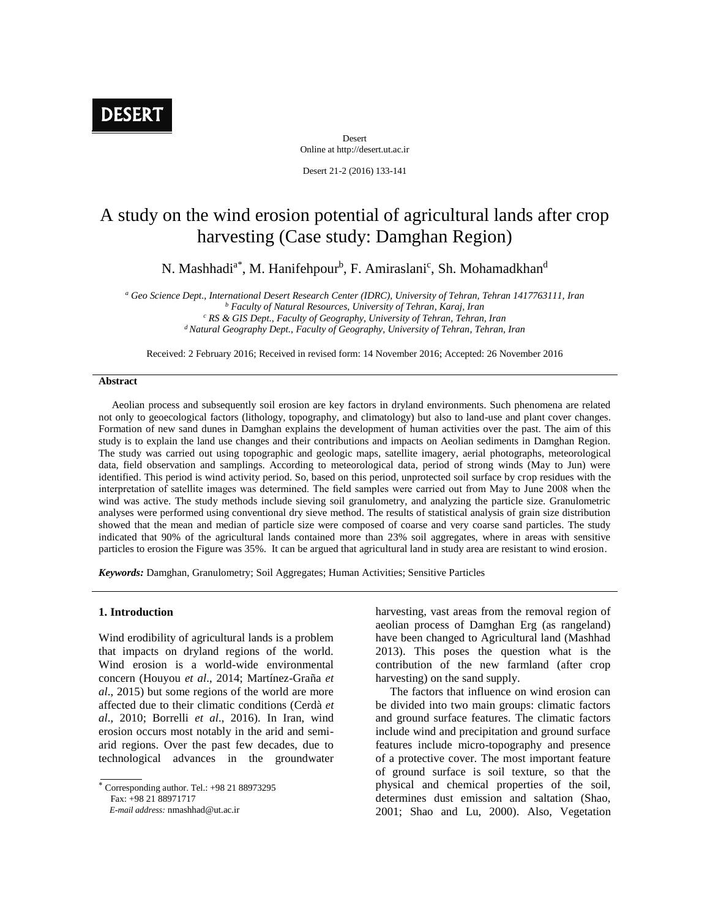# **DESERT**

Desert Online at http://desert.ut.ac.ir

Desert 21-2 (2016) 133-141

## A study on the wind erosion potential of agricultural lands after crop harvesting (Case study: Damghan Region)

N. Mashhadi<sup>a\*</sup>, M. Hanifehpour<sup>b</sup>, F. Amiraslani<sup>c</sup>, Sh. Mohamadkhan<sup>d</sup>

*<sup>a</sup> Geo Science Dept., International Desert Research Center (IDRC), University of Tehran, Tehran 1417763111, Iran <sup>b</sup> Faculty of Natural Resources, University of Tehran, Karaj, Iran*

*<sup>c</sup> RS & GIS Dept., Faculty of Geography, University of Tehran, Tehran, Iran <sup>d</sup>Natural Geography Dept., Faculty of Geography, University of Tehran, Tehran, Iran*

Received: 2 February 2016; Received in revised form: 14 November 2016; Accepted: 26 November 2016

#### **Abstract**

 Aeolian process and subsequently soil erosion are key factors in dryland environments. Such phenomena are related not only to geoecological factors (lithology, topography, and climatology) but also to land-use and plant cover changes. Formation of new sand dunes in Damghan explains the development of human activities over the past. The aim of this study is to explain the land use changes and their contributions and impacts on Aeolian sediments in Damghan Region. The study was carried out using topographic and geologic maps, satellite imagery, aerial photographs, meteorological data, field observation and samplings. According to meteorological data, period of strong winds (May to Jun) were identified. This period is wind activity period. So, based on this period, unprotected soil surface by crop residues with the interpretation of satellite images was determined. The field samples were carried out from May to June 2008 when the wind was active. The study methods include sieving soil granulometry, and analyzing the particle size. Granulometric analyses were performed using conventional dry sieve method. The results of statistical analysis of grain size distribution showed that the mean and median of particle size were composed of coarse and very coarse sand particles. The study indicated that 90% of the agricultural lands contained more than 23% soil aggregates, where in areas with sensitive particles to erosion the Figure was 35%. It can be argued that agricultural land in study area are resistant to wind erosion.

*Keywords:* Damghan, Granulometry; Soil Aggregates; Human Activities; Sensitive Particles

### **1. Introduction**

Wind erodibility of agricultural lands is a problem that impacts on dryland regions of the world. Wind erosion is a world-wide environmental concern (Houyou *et al*., 2014; Martínez-Graña *et al*., 2015) but some regions of the world are more affected due to their climatic conditions (Cerdà *et al*., 2010; Borrelli *et al*., 2016). In Iran, wind erosion occurs most notably in the arid and semiarid regions. Over the past few decades, due to technological advances in the groundwater harvesting, vast areas from the removal region of aeolian process of Damghan Erg (as rangeland) have been changed to Agricultural land (Mashhad 2013). This poses the question what is the contribution of the new farmland (after crop harvesting) on the sand supply.

 The factors that influence on wind erosion can be divided into two main groups: climatic factors and ground surface features. The climatic factors include wind and precipitation and ground surface features include micro-topography and presence of a protective cover. The most important feature of ground surface is soil texture, so that the physical and chemical properties of the soil, determines dust emission and saltation (Shao, 2001; Shao and Lu, 2000). Also, Vegetation

Corresponding author. Tel.: +98 21 88973295

Fax: +98 21 88971717

*E-mail address:* nmashhad@ut.ac.ir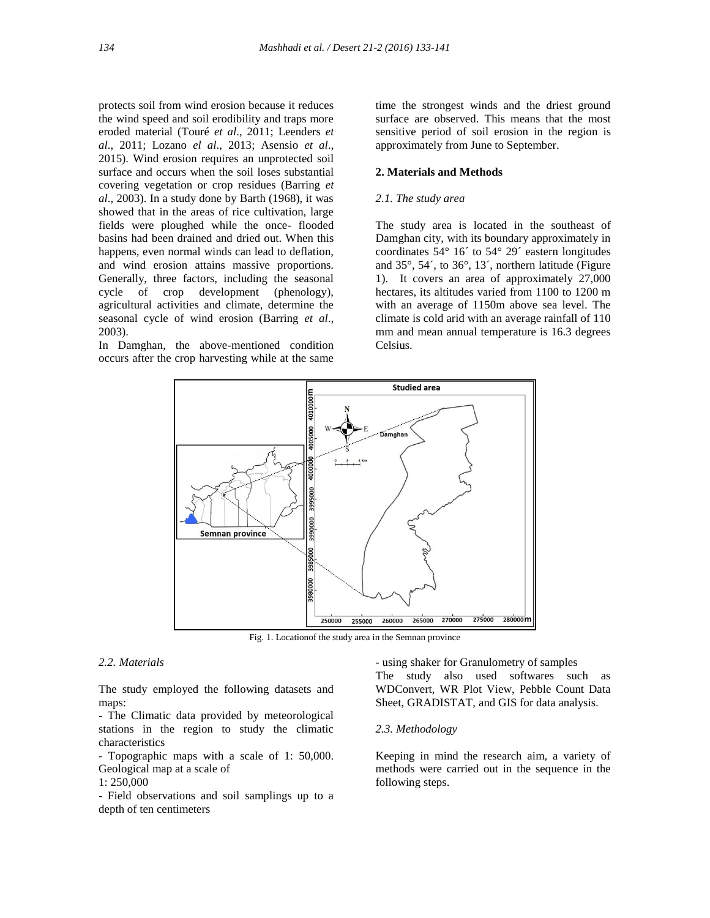protects soil from wind erosion because it reduces the wind speed and soil erodibility and traps more eroded material (Touré *et al*., 2011; Leenders *et al*., 2011; Lozano *el al*., 2013; Asensio *et al*., 2015). Wind erosion requires an unprotected soil surface and occurs when the soil loses substantial covering vegetation or crop residues (Barring *et al*., 2003). In a study done by Barth (1968), it was showed that in the areas of rice cultivation, large fields were ploughed while the once- flooded basins had been drained and dried out. When this happens, even normal winds can lead to deflation. and wind erosion attains massive proportions. Generally, three factors, including the seasonal cycle of crop development (phenology), agricultural activities and climate, determine the seasonal cycle of wind erosion (Barring *et al*., 2003).

In Damghan, the above-mentioned condition occurs after the crop harvesting while at the same time the strongest winds and the driest ground surface are observed. This means that the most sensitive period of soil erosion in the region is approximately from June to September.

## **2. Materials and Methods**

### *2.1. The study area*

The study area is located in the southeast of Damghan city, with its boundary approximately in coordinates 54° 16´ to 54° 29´ eastern longitudes and 35°, 54´, to 36°, 13´, northern latitude (Figure 1). It covers an area of approximately 27,000 hectares, its altitudes varied from 1100 to 1200 m with an average of 1150m above sea level. The climate is cold arid with an average rainfall of 110 mm and mean annual temperature is 16.3 degrees Celsius.



Fig. 1. Locationof the study area in the Semnan province

## *2.2. Materials*

The study employed the following datasets and maps:

- The Climatic data provided by meteorological stations in the region to study the climatic characteristics

- Topographic maps with a scale of 1: 50,000. Geological map at a scale of

1: 250,000

- Field observations and soil samplings up to a depth of ten centimeters

- using shaker for Granulometry of samples The study also used softwares such as WDConvert, WR Plot View, Pebble Count Data Sheet, GRADISTAT, and GIS for data analysis.

#### *2.3. Methodology*

Keeping in mind the research aim, a variety of methods were carried out in the sequence in the following steps.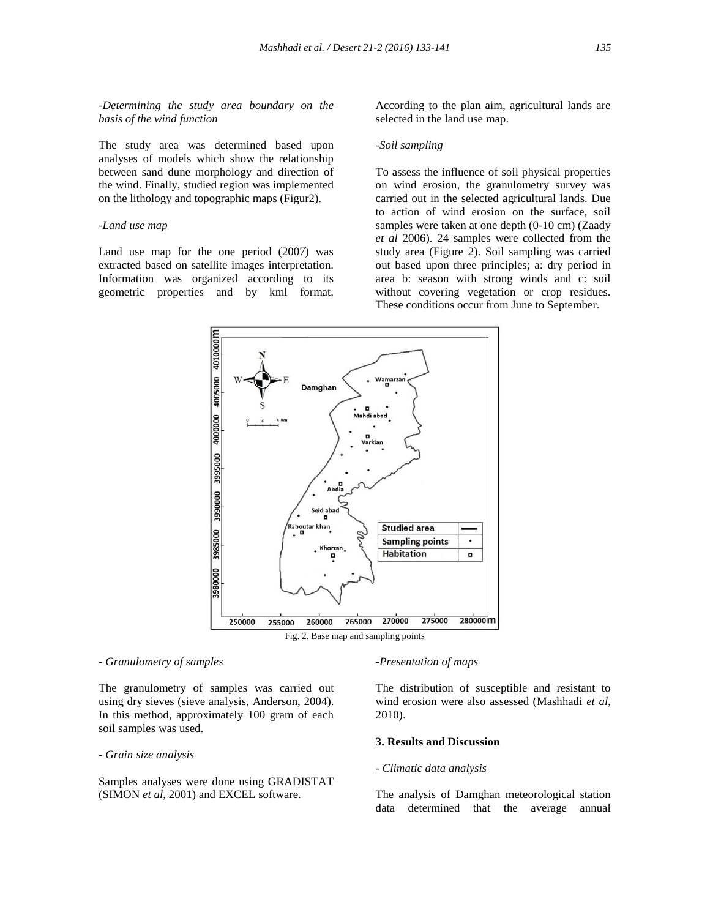*-Determining the study area boundary on the basis of the wind function*

The study area was determined based upon analyses of models which show the relationship between sand dune morphology and direction of the wind. Finally, studied region was implemented on the lithology and topographic maps (Figur2).

#### *-Land use map*

Land use map for the one period (2007) was extracted based on satellite images interpretation. Information was organized according to its geometric properties and by kml format.

According to the plan aim, agricultural lands are selected in the land use map.

## *-Soil sampling*

To assess the influence of soil physical properties on wind erosion, the granulometry survey was carried out in the selected agricultural lands. Due to action of wind erosion on the surface, soil samples were taken at one depth (0-10 cm) (Zaady *et al* 2006). 24 samples were collected from the study area (Figure 2). Soil sampling was carried out based upon three principles; a: dry period in area b: season with strong winds and c: soil without covering vegetation or crop residues. These conditions occur from June to September.



Fig. 2. Base map and sampling points

#### *- Granulometry of samples*

The granulometry of samples was carried out using dry sieves (sieve analysis, Anderson, 2004). In this method, approximately 100 gram of each soil samples was used.

*- Grain size analysis*

Samples analyses were done using GRADISTAT (SIMON *et al*, 2001) and EXCEL software.

#### *-Presentation of maps*

The distribution of susceptible and resistant to wind erosion were also assessed (Mashhadi *et al*, 2010).

## **3. Results and Discussion**

#### *- Climatic data analysis*

The analysis of Damghan meteorological station data determined that the average annual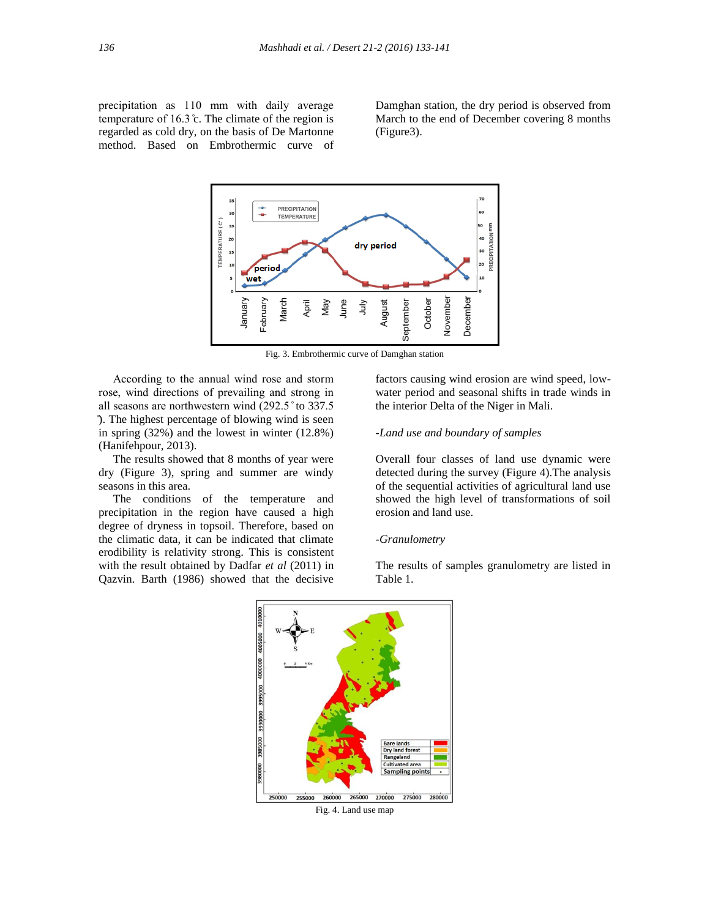precipitation as 110 mm with daily average temperature of  $16.3$  °c. The climate of the region is regarded as cold dry, on the basis of De Martonne method. Based on Embrothermic curve of Damghan station, the dry period is observed from March to the end of December covering 8 months (Figure3).



Fig. 3. Embrothermic curve of Damghan station

 According to the annual wind rose and storm rose, wind directions of prevailing and strong in all seasons are northwestern wind (292.5 ° to 337.5 ̊). The highest percentage of blowing wind is seen in spring (32%) and the lowest in winter (12.8%) (Hanifehpour, 2013).

 The results showed that 8 months of year were dry (Figure 3), spring and summer are windy seasons in this area.

 The conditions of the temperature and precipitation in the region have caused a high degree of dryness in topsoil. Therefore, based on the climatic data, it can be indicated that climate erodibility is relativity strong. This is consistent with the result obtained by Dadfar *et al* (2011) in Qazvin. Barth (1986) showed that the decisive

factors causing wind erosion are wind speed, lowwater period and seasonal shifts in trade winds in the interior Delta of the Niger in Mali.

### *-Land use and boundary of samples*

Overall four classes of land use dynamic were detected during the survey (Figure 4).The analysis of the sequential activities of agricultural land use showed the high level of transformations of soil erosion and land use.

## *-Granulometry*

The results of samples granulometry are listed in Table 1.



Fig. 4. Land use map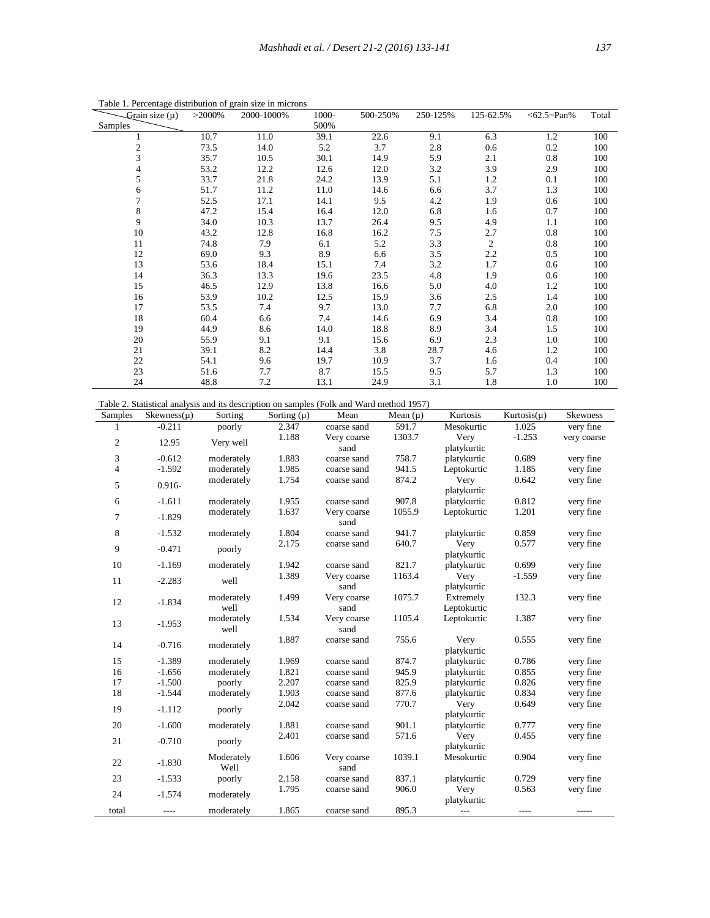| Grain size $(\mu)$      | $>2000\%$ | 2000-1000% | 1000- | 500-250% | 250-125% | 125-62.5%      | $<62.5=Pan\%$ | Total |
|-------------------------|-----------|------------|-------|----------|----------|----------------|---------------|-------|
| Samples                 |           |            | 500%  |          |          |                |               |       |
|                         | 10.7      | 11.0       | 39.1  | 22.6     | 9.1      | 6.3            | 1.2           | 100   |
| $\overline{\mathbf{c}}$ | 73.5      | 14.0       | 5.2   | 3.7      | 2.8      | 0.6            | 0.2           | 100   |
| 3                       | 35.7      | 10.5       | 30.1  | 14.9     | 5.9      | 2.1            | 0.8           | 100   |
| 4                       | 53.2      | 12.2       | 12.6  | 12.0     | 3.2      | 3.9            | 2.9           | 100   |
| 5                       | 33.7      | 21.8       | 24.2  | 13.9     | 5.1      | 1.2            | 0.1           | 100   |
| 6                       | 51.7      | 11.2       | 11.0  | 14.6     | 6.6      | 3.7            | 1.3           | 100   |
| $\overline{7}$          | 52.5      | 17.1       | 14.1  | 9.5      | 4.2      | 1.9            | 0.6           | 100   |
| $\,$ 8 $\,$             | 47.2      | 15.4       | 16.4  | 12.0     | 6.8      | 1.6            | 0.7           | 100   |
| 9                       | 34.0      | 10.3       | 13.7  | 26.4     | 9.5      | 4.9            | 1.1           | 100   |
| 10                      | 43.2      | 12.8       | 16.8  | 16.2     | 7.5      | 2.7            | 0.8           | 100   |
| 11                      | 74.8      | 7.9        | 6.1   | 5.2      | 3.3      | $\overline{2}$ | 0.8           | 100   |
| 12                      | 69.0      | 9.3        | 8.9   | 6.6      | 3.5      | 2.2            | 0.5           | 100   |
| 13                      | 53.6      | 18.4       | 15.1  | 7.4      | 3.2      | 1.7            | 0.6           | 100   |
| 14                      | 36.3      | 13.3       | 19.6  | 23.5     | 4.8      | 1.9            | 0.6           | 100   |
| 15                      | 46.5      | 12.9       | 13.8  | 16.6     | 5.0      | 4.0            | 1.2           | 100   |
| 16                      | 53.9      | 10.2       | 12.5  | 15.9     | 3.6      | 2.5            | 1.4           | 100   |
| 17                      | 53.5      | 7.4        | 9.7   | 13.0     | 7.7      | 6.8            | 2.0           | 100   |
| 18                      | 60.4      | 6.6        | 7.4   | 14.6     | 6.9      | 3.4            | 0.8           | 100   |
| 19                      | 44.9      | 8.6        | 14.0  | 18.8     | 8.9      | 3.4            | 1.5           | 100   |
| 20                      | 55.9      | 9.1        | 9.1   | 15.6     | 6.9      | 2.3            | 1.0           | 100   |
| 21                      | 39.1      | 8.2        | 14.4  | 3.8      | 28.7     | 4.6            | 1.2           | 100   |
| 22                      | 54.1      | 9.6        | 19.7  | 10.9     | 3.7      | 1.6            | 0.4           | 100   |
| 23                      | 51.6      | 7.7        | 8.7   | 15.5     | 9.5      | 5.7            | 1.3           | 100   |
| 24                      | 48.8      | 7.2        | 13.1  | 24.9     | 3.1      | 1.8            | 1.0           | 100   |

Table 1. Percentage distribution of grain size in microns

| <b>Samples</b>   | $Skewness(\mu)$ | Sorting              | Sorting $(\mu)$ | Mean                       | Mean $(\mu)$   | Kurtosis                   | Kurtosis $(\mu)$ | <b>Skewness</b>        |
|------------------|-----------------|----------------------|-----------------|----------------------------|----------------|----------------------------|------------------|------------------------|
| 1                | $-0.211$        | poorly               | 2.347           | coarse sand                | 591.7          | Mesokurtic                 | 1.025            | very fine              |
| $\boldsymbol{2}$ | 12.95           | Very well            | 1.188           | Very coarse                | 1303.7         | Very                       | $-1.253$         | very coarse            |
|                  |                 |                      |                 | sand                       |                | platykurtic                |                  |                        |
| 3                | $-0.612$        | moderately           | 1.883           | coarse sand                | 758.7          | platykurtic                | 0.689            | very fine              |
| 4                | $-1.592$        | moderately           | 1.985           | coarse sand                | 941.5          | Leptokurtic                | 1.185            | very fine              |
| 5                | 0.916-          | moderately           | 1.754           | coarse sand                | 874.2          | Very                       | 0.642            | very fine              |
|                  |                 |                      |                 |                            |                | platykurtic                |                  |                        |
| 6                | $-1.611$        | moderately           | 1.955           | coarse sand                | 907.8          | platykurtic                | 0.812            | very fine              |
| 7                | $-1.829$        | moderately           | 1.637           | Very coarse                | 1055.9         | Leptokurtic                | 1.201            | very fine              |
|                  |                 |                      |                 | sand                       |                |                            |                  |                        |
| 8                | $-1.532$        | moderately           | 1.804           | coarse sand                | 941.7          | platykurtic                | 0.859            | very fine              |
| 9                | $-0.471$        | poorly               | 2.175           | coarse sand                | 640.7          | Very                       | 0.577            | very fine              |
|                  |                 |                      |                 |                            |                | platykurtic                |                  |                        |
| 10               | $-1.169$        | moderately           | 1.942           | coarse sand                | 821.7          | platykurtic                | 0.699            | very fine              |
| 11               | $-2.283$        | well                 | 1.389           | Very coarse                | 1163.4         | Very                       | $-1.559$         | very fine              |
|                  |                 |                      |                 | sand                       |                | platykurtic                |                  |                        |
| 12               | $-1.834$        | moderately           | 1.499           | Very coarse                | 1075.7         | Extremely                  | 132.3            | very fine              |
|                  |                 | well                 |                 | sand                       |                | Leptokurtic                |                  |                        |
| 13               | $-1.953$        | moderately           | 1.534           | Very coarse                | 1105.4         | Leptokurtic                | 1.387            | very fine              |
|                  |                 | well                 |                 | sand                       |                |                            |                  |                        |
| 14               | $-0.716$        | moderately           | 1.887           | coarse sand                | 755.6          | Very                       | 0.555            | very fine              |
| 15               | $-1.389$        |                      |                 |                            |                | platykurtic                |                  |                        |
| 16               | $-1.656$        | moderately           | 1.969           | coarse sand                | 874.7<br>945.9 | platykurtic                | 0.786<br>0.855   | very fine              |
| 17               | $-1.500$        | moderately<br>poorly | 1.821<br>2.207  | coarse sand<br>coarse sand | 825.9          | platykurtic<br>platykurtic | 0.826            | very fine<br>very fine |
| 18               | $-1.544$        | moderately           | 1.903           | coarse sand                | 877.6          |                            | 0.834            | very fine              |
|                  |                 |                      | 2.042           | coarse sand                | 770.7          | platykurtic<br>Very        | 0.649            | very fine              |
| 19               | $-1.112$        | poorly               |                 |                            |                | platykurtic                |                  |                        |
| 20               | $-1.600$        | moderately           | 1.881           | coarse sand                | 901.1          | platykurtic                | 0.777            | very fine              |
|                  |                 |                      | 2.401           | coarse sand                | 571.6          | Very                       | 0.455            | very fine              |
| 21               | $-0.710$        | poorly               |                 |                            |                | platykurtic                |                  |                        |
|                  |                 | Moderately           | 1.606           | Very coarse                | 1039.1         | Mesokurtic                 | 0.904            | very fine              |
| 22               | $-1.830$        | Well                 |                 | sand                       |                |                            |                  |                        |
| 23               | $-1.533$        | poorly               | 2.158           | coarse sand                | 837.1          | platykurtic                | 0.729            | very fine              |
|                  |                 |                      | 1.795           | coarse sand                | 906.0          | Very                       | 0.563            | very fine              |
| 24               | $-1.574$        | moderately           |                 |                            |                | platykurtic                |                  |                        |
| total            | $---$           | moderately           | 1.865           | coarse sand                | 895.3          | $---$                      | $- - - -$        |                        |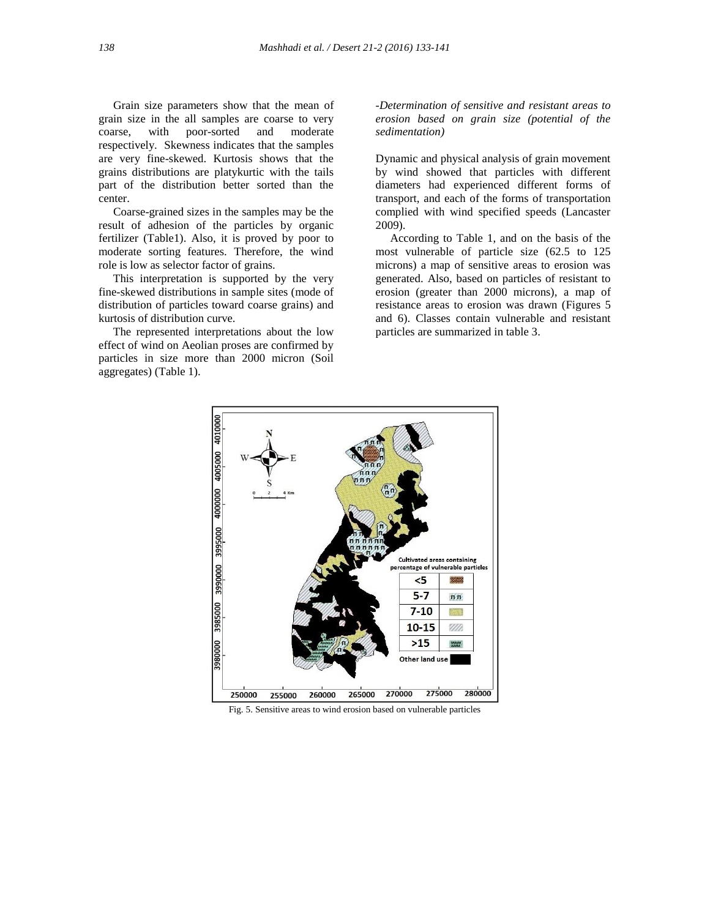Grain size parameters show that the mean of grain size in the all samples are coarse to very coarse, with poor-sorted and moderate respectively. Skewness indicates that the samples are very fine-skewed. Kurtosis shows that the grains distributions are platykurtic with the tails part of the distribution better sorted than the center.

 Coarse-grained sizes in the samples may be the result of adhesion of the particles by organic fertilizer (Table1). Also, it is proved by poor to moderate sorting features. Therefore, the wind role is low as selector factor of grains.

 This interpretation is supported by the very fine-skewed distributions in sample sites (mode of distribution of particles toward coarse grains) and kurtosis of distribution curve.

 The represented interpretations about the low effect of wind on Aeolian proses are confirmed by particles in size more than 2000 micron (Soil aggregates) (Table 1).

*-Determination of sensitive and resistant areas to erosion based on grain size (potential of the sedimentation)*

Dynamic and physical analysis of grain movement by wind showed that particles with different diameters had experienced different forms of transport, and each of the forms of transportation complied with wind specified speeds (Lancaster 2009).

 According to Table 1, and on the basis of the most vulnerable of particle size (62.5 to 125 microns) a map of sensitive areas to erosion was generated. Also, based on particles of resistant to erosion (greater than 2000 microns), a map of resistance areas to erosion was drawn (Figures 5 and 6). Classes contain vulnerable and resistant particles are summarized in table 3.



Fig. 5. Sensitive areas to wind erosion based on vulnerable particles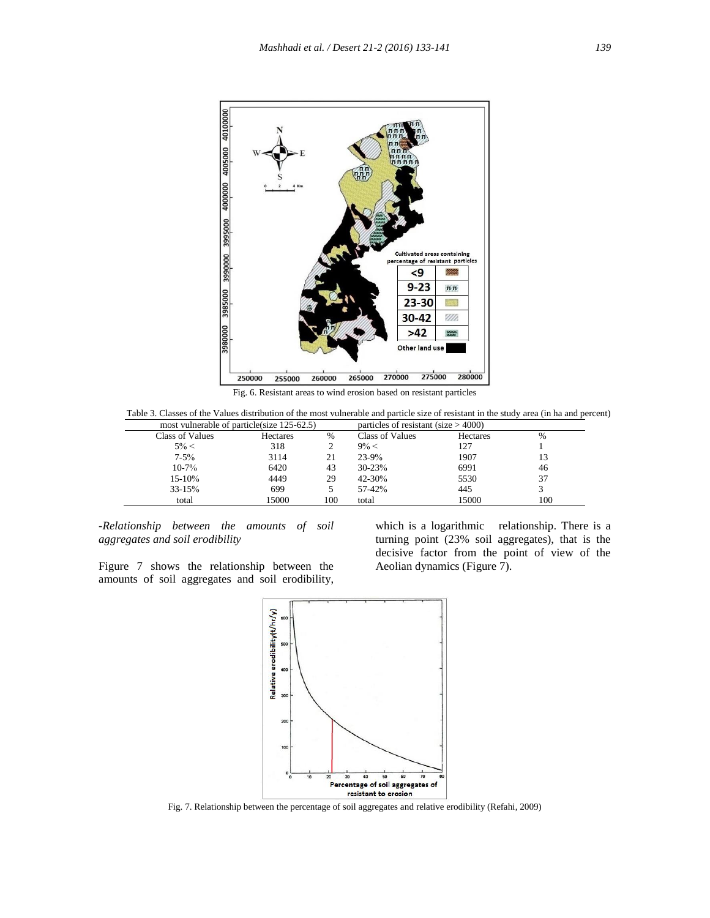

Fig. 6. Resistant areas to wind erosion based on resistant particles

Table 3. Classes of the Values distribution of the most vulnerable and particle size of resistant in the study area (in ha and percent)

| most vulnerable of particle (size 125-62.5) |          |     | particles of resistant (size $> 4000$ ) |          |     |
|---------------------------------------------|----------|-----|-----------------------------------------|----------|-----|
| Class of Values                             | Hectares | %   | <b>Class of Values</b>                  | Hectares | %   |
| $5\% <$                                     | 318      |     | $9\% <$                                 | 127      |     |
| $7 - 5\%$                                   | 3114     | 21  | $23 - 9%$                               | 1907     | 13  |
| $10 - 7\%$                                  | 6420     | 43  | $30 - 23%$                              | 6991     | 46  |
| 15-10%                                      | 4449     | 29  | $42 - 30%$                              | 5530     | 37  |
| $33 - 15%$                                  | 699      |     | 57-42%                                  | 445      |     |
| total                                       | 15000    | 100 | total                                   | 15000    | 100 |

*-Relationship between the amounts of soil aggregates and soil erodibility*

which is a logarithmic relationship. There is a turning point (23% soil aggregates), that is the decisive factor from the point of view of the Aeolian dynamics (Figure 7).

Figure 7 shows the relationship between the amounts of soil aggregates and soil erodibility,



Fig. 7. Relationship between the percentage of soil aggregates and relative erodibility (Refahi, 2009)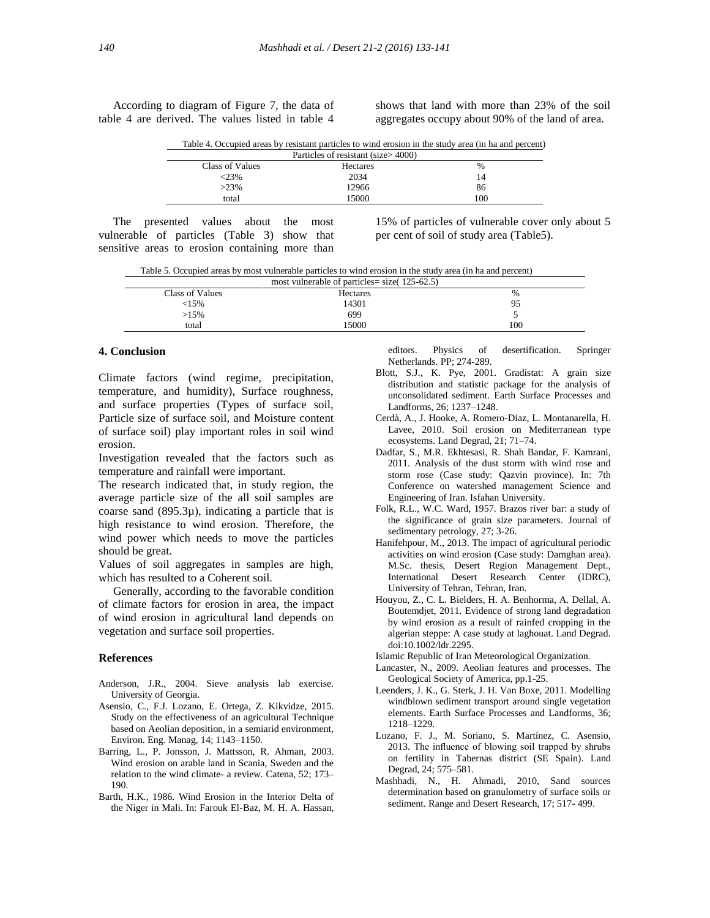According to diagram of Figure 7, the data of table 4 are derived. The values listed in table 4

shows that land with more than 23% of the soil aggregates occupy about 90% of the land of area.

|  |  | Table 4. Occupied areas by resistant particles to wind erosion in the study area (in ha and percent) |  |  |
|--|--|------------------------------------------------------------------------------------------------------|--|--|
|  |  |                                                                                                      |  |  |

| Particles of resistant (size>4000) |          |      |  |  |  |
|------------------------------------|----------|------|--|--|--|
| Class of Values                    | Hectares | $\%$ |  |  |  |
| $< 23\%$                           | 2034     | 14   |  |  |  |
| $>23\%$                            | 12966    | 86   |  |  |  |
| total                              | 15000    | 100  |  |  |  |
|                                    |          |      |  |  |  |

 The presented values about the most vulnerable of particles (Table 3) show that sensitive areas to erosion containing more than 15% of particles of vulnerable cover only about 5 per cent of soil of study area (Table5).

Table 5. Occupied areas by most vulnerable particles to wind erosion in the study area (in ha and percent)

| most vulnerable of particles = size $(125-62.5)$ |          |      |  |  |  |
|--------------------------------------------------|----------|------|--|--|--|
| Class of Values                                  | Hectares | $\%$ |  |  |  |
| <15%                                             | 14301    | 95   |  |  |  |
| $>15\%$                                          | 699      |      |  |  |  |
| total                                            | 5000     | 100  |  |  |  |

## **4. Conclusion**

Climate factors (wind regime, precipitation, temperature, and humidity), Surface roughness, and surface properties (Types of surface soil, Particle size of surface soil, and Moisture content of surface soil) play important roles in soil wind erosion.

Investigation revealed that the factors such as temperature and rainfall were important.

The research indicated that, in study region, the average particle size of the all soil samples are coarse sand  $(895.3\mu)$ , indicating a particle that is high resistance to wind erosion. Therefore, the wind power which needs to move the particles should be great.

Values of soil aggregates in samples are high, which has resulted to a Coherent soil.

 Generally, according to the favorable condition of climate factors for erosion in area, the impact of wind erosion in agricultural land depends on vegetation and surface soil properties.

#### **References**

- Anderson, J.R., 2004. Sieve analysis lab exercise. University of Georgia.
- Asensio, C., F.J. Lozano, E. Ortega, Z. Kikvidze, 2015. Study on the effectiveness of an agricultural Technique based on Aeolian deposition, in a semiarid environment, Environ. Eng. Manag, 14; 1143–1150.
- Barring, L., P. Jonsson, J. Mattsson, R. Ahman, 2003. Wind erosion on arable land in Scania, Sweden and the relation to the wind climate- a review. Catena, 52; 173– 190.
- Barth, H.K., 1986. Wind Erosion in the Interior Delta of the Niger in Mali. In: Farouk El-Baz, M. H. A. Hassan,

 editors. Physics of desertification. Springer Netherlands. PP; 274-289.

- Blott, S.J., K. Pye, 2001. Gradistat: A grain size distribution and statistic package for the analysis of unconsolidated sediment. Earth Surface Processes and Landforms, 26; 1237–1248.
- Cerdà, A., J. Hooke, A. Romero-Diaz, L. Montanarella, H. Lavee, 2010. Soil erosion on Mediterranean type ecosystems. Land Degrad, 21; 71–74.
- Dadfar, S., M.R. Ekhtesasi, R. Shah Bandar, F. Kamrani, 2011. Analysis of the dust storm with wind rose and storm rose (Case study: Qazvin province). In: 7th Conference on watershed management Science and Engineering of Iran. Isfahan University.
- Folk, R.L., W.C. Ward, 1957. Brazos river bar: a study of the significance of grain size parameters. Journal of sedimentary petrology, 27; 3-26.
- Hanifehpour, M., 2013. The impact of agricultural periodic activities on wind erosion (Case study: Damghan area). M.Sc. thesis, Desert Region Management Dept., International Desert Research Center (IDRC), University of Tehran, Tehran, Iran.
- Houyou, Z., C. L. Bielders, H. A. Benhorma, A. Dellal, A. Boutemdjet, 2011. Evidence of strong land degradation by wind erosion as a result of rainfed cropping in the algerian steppe: A case study at laghouat. Land Degrad. doi:10.1002/ldr.2295.
- Islamic Republic of Iran Meteorological Organization.
- Lancaster, N., 2009. Aeolian features and processes. The Geological Society of America, pp.1-25.
- Leenders, J. K., G. Sterk, J. H. Van Boxe, 2011. Modelling windblown sediment transport around single vegetation elements. Earth Surface Processes and Landforms, 36; 1218–1229.
- Lozano, F. J., M. Soriano, S. Martínez, C. Asensio, 2013. The influence of blowing soil trapped by shrubs on fertility in Tabernas district (SE Spain). Land Degrad, 24; 575–581.
- Mashhadi, N., H. Ahmadi, 2010, Sand sources determination based on granulometry of surface soils or sediment. Range and Desert Research, 17; 517- 499.